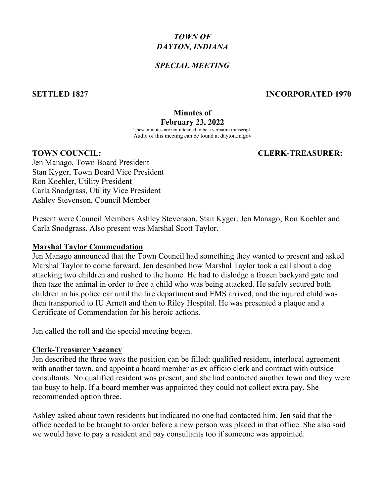# *TOWN OF DAYTON*, *INDIANA*

## *SPECIAL MEETING*

## **SETTLED 1827 INCORPORATED 1970**

### **Minutes of**

### **February 23, 2022**

These minutes are not intended to be a verbatim transcript. Audio of this meeting can be found at dayton.in.gov

## **TOWN COUNCIL: CLERK-TREASURER:**

Jen Manago, Town Board President Stan Kyger, Town Board Vice President Ron Koehler, Utility President Carla Snodgrass, Utility Vice President Ashley Stevenson, Council Member

Present were Council Members Ashley Stevenson, Stan Kyger, Jen Manago, Ron Koehler and Carla Snodgrass. Also present was Marshal Scott Taylor.

### **Marshal Taylor Commendation**

Jen Manago announced that the Town Council had something they wanted to present and asked Marshal Taylor to come forward. Jen described how Marshal Taylor took a call about a dog attacking two children and rushed to the home. He had to dislodge a frozen backyard gate and then taze the animal in order to free a child who was being attacked. He safely secured both children in his police car until the fire department and EMS arrived, and the injured child was then transported to IU Arnett and then to Riley Hospital. He was presented a plaque and a Certificate of Commendation for his heroic actions.

Jen called the roll and the special meeting began.

## **Clerk-Treasurer Vacancy**

Jen described the three ways the position can be filled: qualified resident, interlocal agreement with another town, and appoint a board member as ex officio clerk and contract with outside consultants. No qualified resident was present, and she had contacted another town and they were too busy to help. If a board member was appointed they could not collect extra pay. She recommended option three.

Ashley asked about town residents but indicated no one had contacted him. Jen said that the office needed to be brought to order before a new person was placed in that office. She also said we would have to pay a resident and pay consultants too if someone was appointed.